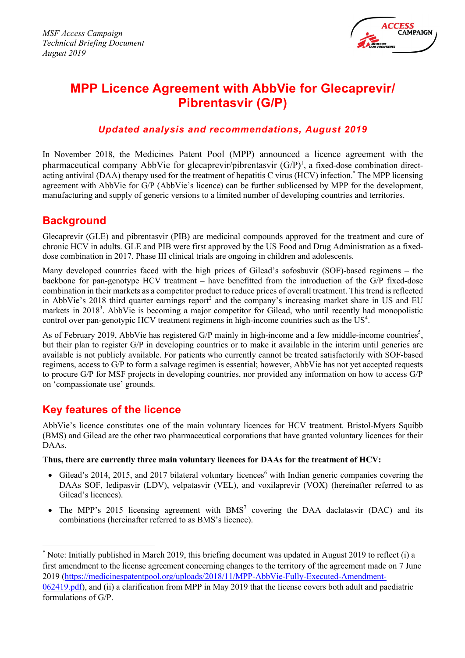

# **MPP Licence Agreement with AbbVie for Glecaprevir/ Pibrentasvir (G/P)**

## *Updated analysis and recommendations, August 2019*

In November 2018, the Medicines Patent Pool (MPP) announced a licence agreement with the pharmaceutical company AbbVie for glecaprevir/pibrentasvir (G/P)<sup>1</sup>, a fixed-dose combination directacting antiviral (DAA) therapy used for the treatment of hepatitis C virus (HCV) infection. \* The MPP licensing agreement with AbbVie for G/P (AbbVie's licence) can be further sublicensed by MPP for the development, manufacturing and supply of generic versions to a limited number of developing countries and territories.

## **Background**

Glecaprevir (GLE) and pibrentasvir (PIB) are medicinal compounds approved for the treatment and cure of chronic HCV in adults. GLE and PIB were first approved by the US Food and Drug Administration as a fixeddose combination in 2017. Phase III clinical trials are ongoing in children and adolescents.

Many developed countries faced with the high prices of Gilead's sofosbuvir (SOF)-based regimens – the backbone for pan-genotype HCV treatment – have benefitted from the introduction of the G/P fixed-dose combination in their markets as a competitor product to reduce prices of overall treatment. This trend is reflected in AbbVie's 2018 third quarter earnings report<sup>2</sup> and the company's increasing market share in US and EU markets in 2018<sup>3</sup>. AbbVie is becoming a major competitor for Gilead, who until recently had monopolistic control over pan-genotypic HCV treatment regimens in high-income countries such as the  $US^4$ .

As of February 2019, AbbVie has registered G/P mainly in high-income and a few middle-income countries<sup>5</sup>, but their plan to register G/P in developing countries or to make it available in the interim until generics are available is not publicly available. For patients who currently cannot be treated satisfactorily with SOF-based regimens, access to G/P to form a salvage regimen is essential; however, AbbVie has not yet accepted requests to procure G/P for MSF projects in developing countries, nor provided any information on how to access G/P on 'compassionate use' grounds.

## **Key features of the licence**

AbbVie's licence constitutes one of the main voluntary licences for HCV treatment. Bristol-Myers Squibb (BMS) and Gilead are the other two pharmaceutical corporations that have granted voluntary licences for their DAA<sub>s</sub>.

## **Thus, there are currently three main voluntary licences for DAAs for the treatment of HCV:**

- Gilead's 2014, 2015, and 2017 bilateral voluntary licences<sup>6</sup> with Indian generic companies covering the DAAs SOF, ledipasvir (LDV), velpatasvir (VEL), and voxilaprevir (VOX) (hereinafter referred to as Gilead's licences).
- The MPP's 2015 licensing agreement with  $BMS<sup>7</sup>$  covering the DAA daclatasvir (DAC) and its combinations (hereinafter referred to as BMS's licence).

<sup>\*</sup> Note: Initially published in March 2019, this briefing document was updated in August 2019 to reflect (i) a first amendment to the license agreement concerning changes to the territory of the agreement made on 7 June 2019 (https://medicinespatentpool.org/uploads/2018/11/MPP-AbbVie-Fully-Executed-Amendment-

<sup>062419.</sup>pdf), and (ii) a clarification from MPP in May 2019 that the license covers both adult and paediatric formulations of G/P.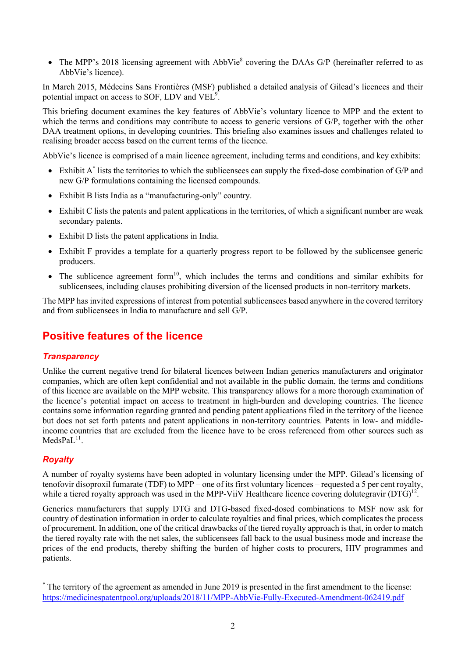• The MPP's 2018 licensing agreement with AbbVie<sup>8</sup> covering the DAAs G/P (hereinafter referred to as AbbVie's licence).

In March 2015, Médecins Sans Frontières (MSF) published a detailed analysis of Gilead's licences and their potential impact on access to SOF, LDV and VEL<sup>9</sup>.

This briefing document examines the key features of AbbVie's voluntary licence to MPP and the extent to which the terms and conditions may contribute to access to generic versions of G/P, together with the other DAA treatment options, in developing countries. This briefing also examines issues and challenges related to realising broader access based on the current terms of the licence.

AbbVie's licence is comprised of a main licence agreement, including terms and conditions, and key exhibits:

- Exhibit  $A^*$  lists the territories to which the sublicensees can supply the fixed-dose combination of  $G/P$  and new G/P formulations containing the licensed compounds.
- Exhibit B lists India as a "manufacturing-only" country.
- Exhibit C lists the patents and patent applications in the territories, of which a significant number are weak secondary patents.
- Exhibit D lists the patent applications in India.
- Exhibit F provides a template for a quarterly progress report to be followed by the sublicensee generic producers.
- The sublicence agreement form<sup>10</sup>, which includes the terms and conditions and similar exhibits for sublicensees, including clauses prohibiting diversion of the licensed products in non-territory markets.

The MPP has invited expressions of interest from potential sublicensees based anywhere in the covered territory and from sublicensees in India to manufacture and sell G/P.

## **Positive features of the licence**

## *Transparency*

Unlike the current negative trend for bilateral licences between Indian generics manufacturers and originator companies, which are often kept confidential and not available in the public domain, the terms and conditions of this licence are available on the MPP website. This transparency allows for a more thorough examination of the licence's potential impact on access to treatment in high-burden and developing countries. The licence contains some information regarding granted and pending patent applications filed in the territory of the licence but does not set forth patents and patent applications in non-territory countries. Patents in low- and middleincome countries that are excluded from the licence have to be cross referenced from other sources such as  $MedsPal<sup>11</sup>$ .

## *Royalty*

A number of royalty systems have been adopted in voluntary licensing under the MPP. Gilead's licensing of tenofovir disoproxil fumarate (TDF) to MPP – one of its first voluntary licences – requested a 5 per cent royalty, while a tiered royalty approach was used in the MPP-ViiV Healthcare licence covering dolutegravir (DTG)<sup>12</sup>.

Generics manufacturers that supply DTG and DTG-based fixed-dosed combinations to MSF now ask for country of destination information in order to calculate royalties and final prices, which complicates the process of procurement. In addition, one of the critical drawbacks of the tiered royalty approach is that, in order to match the tiered royalty rate with the net sales, the sublicensees fall back to the usual business mode and increase the prices of the end products, thereby shifting the burden of higher costs to procurers, HIV programmes and patients.

<sup>\*</sup> The territory of the agreement as amended in June 2019 is presented in the first amendment to the license: https://medicinespatentpool.org/uploads/2018/11/MPP-AbbVie-Fully-Executed-Amendment-062419.pdf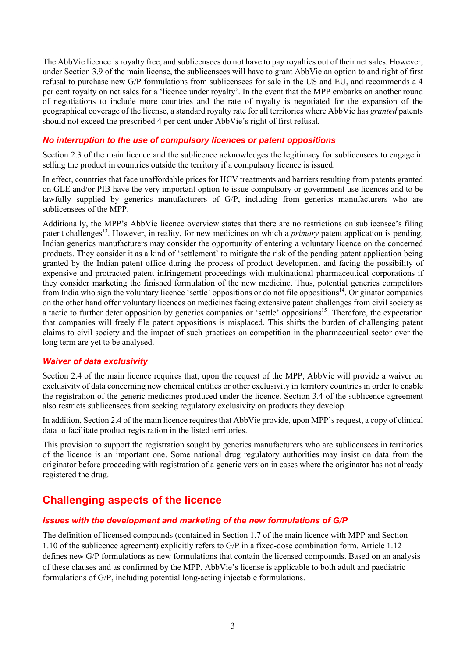The AbbVie licence is royalty free, and sublicensees do not have to pay royalties out of their net sales. However, under Section 3.9 of the main license, the sublicensees will have to grant AbbVie an option to and right of first refusal to purchase new G/P formulations from sublicensees for sale in the US and EU, and recommends a 4 per cent royalty on net sales for a 'licence under royalty'. In the event that the MPP embarks on another round of negotiations to include more countries and the rate of royalty is negotiated for the expansion of the geographical coverage of the license, a standard royalty rate for all territories where AbbVie has *granted* patents should not exceed the prescribed 4 per cent under AbbVie's right of first refusal.

## *No interruption to the use of compulsory licences or patent oppositions*

Section 2.3 of the main licence and the sublicence acknowledges the legitimacy for sublicensees to engage in selling the product in countries outside the territory if a compulsory licence is issued.

In effect, countries that face unaffordable prices for HCV treatments and barriers resulting from patents granted on GLE and/or PIB have the very important option to issue compulsory or government use licences and to be lawfully supplied by generics manufacturers of G/P, including from generics manufacturers who are sublicensees of the MPP.

Additionally, the MPP's AbbVie licence overview states that there are no restrictions on sublicensee's filing patent challenges<sup>13</sup>. However, in reality, for new medicines on which a *primary* patent application is pending, Indian generics manufacturers may consider the opportunity of entering a voluntary licence on the concerned products. They consider it as a kind of 'settlement' to mitigate the risk of the pending patent application being granted by the Indian patent office during the process of product development and facing the possibility of expensive and protracted patent infringement proceedings with multinational pharmaceutical corporations if they consider marketing the finished formulation of the new medicine. Thus, potential generics competitors from India who sign the voluntary licence 'settle' oppositions or do not file oppositions<sup>14</sup>. Originator companies on the other hand offer voluntary licences on medicines facing extensive patent challenges from civil society as a tactic to further deter opposition by generics companies or 'settle' oppositions<sup>15</sup>. Therefore, the expectation that companies will freely file patent oppositions is misplaced. This shifts the burden of challenging patent claims to civil society and the impact of such practices on competition in the pharmaceutical sector over the long term are yet to be analysed.

## *Waiver of data exclusivity*

Section 2.4 of the main licence requires that, upon the request of the MPP, AbbVie will provide a waiver on exclusivity of data concerning new chemical entities or other exclusivity in territory countries in order to enable the registration of the generic medicines produced under the licence. Section 3.4 of the sublicence agreement also restricts sublicensees from seeking regulatory exclusivity on products they develop.

In addition, Section 2.4 of the main licence requires that AbbVie provide, upon MPP's request, a copy of clinical data to facilitate product registration in the listed territories.

This provision to support the registration sought by generics manufacturers who are sublicensees in territories of the licence is an important one. Some national drug regulatory authorities may insist on data from the originator before proceeding with registration of a generic version in cases where the originator has not already registered the drug.

## **Challenging aspects of the licence**

## *Issues with the development and marketing of the new formulations of G/P*

The definition of licensed compounds (contained in Section 1.7 of the main licence with MPP and Section 1.10 of the sublicence agreement) explicitly refers to G/P in a fixed-dose combination form. Article 1.12 defines new G/P formulations as new formulations that contain the licensed compounds. Based on an analysis of these clauses and as confirmed by the MPP, AbbVie's license is applicable to both adult and paediatric formulations of G/P, including potential long-acting injectable formulations.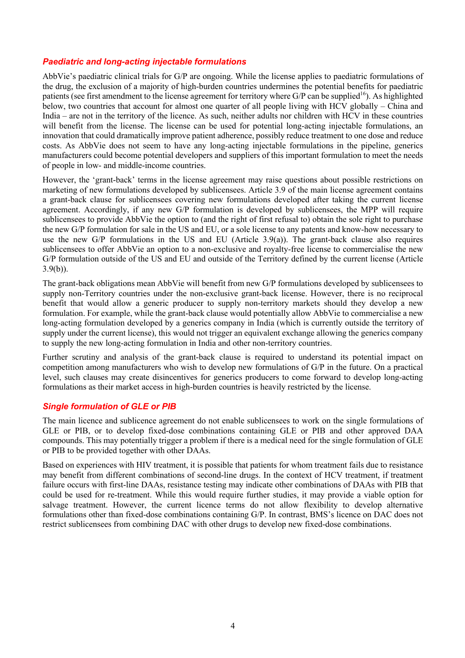## *Paediatric and long-acting injectable formulations*

AbbVie's paediatric clinical trials for G/P are ongoing. While the license applies to paediatric formulations of the drug, the exclusion of a majority of high-burden countries undermines the potential benefits for paediatric patients (see first amendment to the license agreement for territory where  $G/P$  can be supplied<sup>16</sup>). As highlighted below, two countries that account for almost one quarter of all people living with HCV globally – China and India – are not in the territory of the licence. As such, neither adults nor children with HCV in these countries will benefit from the license. The license can be used for potential long-acting injectable formulations, an innovation that could dramatically improve patient adherence, possibly reduce treatment to one dose and reduce costs. As AbbVie does not seem to have any long-acting injectable formulations in the pipeline, generics manufacturers could become potential developers and suppliers of this important formulation to meet the needs of people in low- and middle-income countries.

However, the 'grant-back' terms in the license agreement may raise questions about possible restrictions on marketing of new formulations developed by sublicensees. Article 3.9 of the main license agreement contains a grant-back clause for sublicensees covering new formulations developed after taking the current license agreement. Accordingly, if any new G/P formulation is developed by sublicensees, the MPP will require sublicensees to provide AbbVie the option to (and the right of first refusal to) obtain the sole right to purchase the new G/P formulation for sale in the US and EU, or a sole license to any patents and know-how necessary to use the new G/P formulations in the US and EU (Article 3.9(a)). The grant-back clause also requires sublicensees to offer AbbVie an option to a non-exclusive and royalty-free license to commercialise the new G/P formulation outside of the US and EU and outside of the Territory defined by the current license (Article  $3.9(b)$ ).

The grant-back obligations mean AbbVie will benefit from new G/P formulations developed by sublicensees to supply non-Territory countries under the non-exclusive grant-back license. However, there is no reciprocal benefit that would allow a generic producer to supply non-territory markets should they develop a new formulation. For example, while the grant-back clause would potentially allow AbbVie to commercialise a new long-acting formulation developed by a generics company in India (which is currently outside the territory of supply under the current license), this would not trigger an equivalent exchange allowing the generics company to supply the new long-acting formulation in India and other non-territory countries.

Further scrutiny and analysis of the grant-back clause is required to understand its potential impact on competition among manufacturers who wish to develop new formulations of G/P in the future. On a practical level, such clauses may create disincentives for generics producers to come forward to develop long-acting formulations as their market access in high-burden countries is heavily restricted by the license.

## *Single formulation of GLE or PIB*

The main licence and sublicence agreement do not enable sublicensees to work on the single formulations of GLE or PIB, or to develop fixed-dose combinations containing GLE or PIB and other approved DAA compounds. This may potentially trigger a problem if there is a medical need for the single formulation of GLE or PIB to be provided together with other DAAs.

Based on experiences with HIV treatment, it is possible that patients for whom treatment fails due to resistance may benefit from different combinations of second-line drugs. In the context of HCV treatment, if treatment failure occurs with first-line DAAs, resistance testing may indicate other combinations of DAAs with PIB that could be used for re-treatment. While this would require further studies, it may provide a viable option for salvage treatment. However, the current licence terms do not allow flexibility to develop alternative formulations other than fixed-dose combinations containing G/P. In contrast, BMS's licence on DAC does not restrict sublicensees from combining DAC with other drugs to develop new fixed-dose combinations.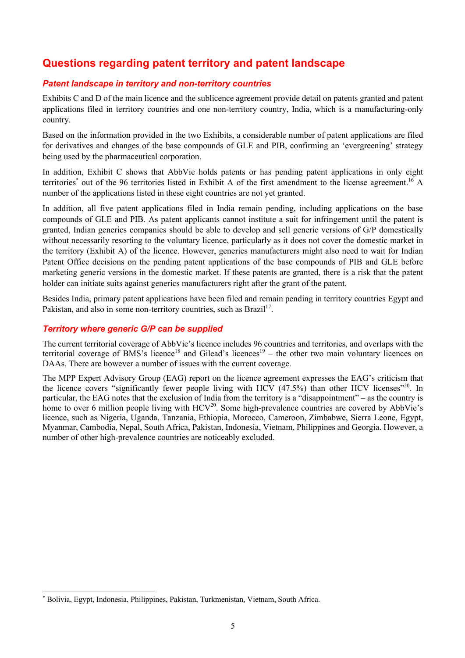## **Questions regarding patent territory and patent landscape**

## *Patent landscape in territory and non-territory countries*

Exhibits C and D of the main licence and the sublicence agreement provide detail on patents granted and patent applications filed in territory countries and one non-territory country, India, which is a manufacturing-only country.

Based on the information provided in the two Exhibits, a considerable number of patent applications are filed for derivatives and changes of the base compounds of GLE and PIB, confirming an 'evergreening' strategy being used by the pharmaceutical corporation.

In addition, Exhibit C shows that AbbVie holds patents or has pending patent applications in only eight territories<sup>\*</sup> out of the 96 territories listed in Exhibit A of the first amendment to the license agreement.<sup>16</sup> A number of the applications listed in these eight countries are not yet granted.

In addition, all five patent applications filed in India remain pending, including applications on the base compounds of GLE and PIB. As patent applicants cannot institute a suit for infringement until the patent is granted, Indian generics companies should be able to develop and sell generic versions of G/P domestically without necessarily resorting to the voluntary licence, particularly as it does not cover the domestic market in the territory (Exhibit A) of the licence. However, generics manufacturers might also need to wait for Indian Patent Office decisions on the pending patent applications of the base compounds of PIB and GLE before marketing generic versions in the domestic market. If these patents are granted, there is a risk that the patent holder can initiate suits against generics manufacturers right after the grant of the patent.

Besides India, primary patent applications have been filed and remain pending in territory countries Egypt and Pakistan, and also in some non-territory countries, such as  $Brazil<sup>17</sup>$ .

## *Territory where generic G/P can be supplied*

The current territorial coverage of AbbVie's licence includes 96 countries and territories, and overlaps with the territorial coverage of BMS's licence<sup>18</sup> and Gilead's licences<sup>19</sup> – the other two main voluntary licences on DAAs. There are however a number of issues with the current coverage.

The MPP Expert Advisory Group (EAG) report on the licence agreement expresses the EAG's criticism that the licence covers "significantly fewer people living with HCV  $(47.5%)$  than other HCV licenses"<sup>20</sup>. In particular, the EAG notes that the exclusion of India from the territory is a "disappointment" – as the country is home to over 6 million people living with  $HCV^{20}$ . Some high-prevalence countries are covered by AbbVie's licence, such as Nigeria, Uganda, Tanzania, Ethiopia, Morocco, Cameroon, Zimbabwe, Sierra Leone, Egypt, Myanmar, Cambodia, Nepal, South Africa, Pakistan, Indonesia, Vietnam, Philippines and Georgia. However, a number of other high-prevalence countries are noticeably excluded.

<sup>\*</sup> Bolivia, Egypt, Indonesia, Philippines, Pakistan, Turkmenistan, Vietnam, South Africa.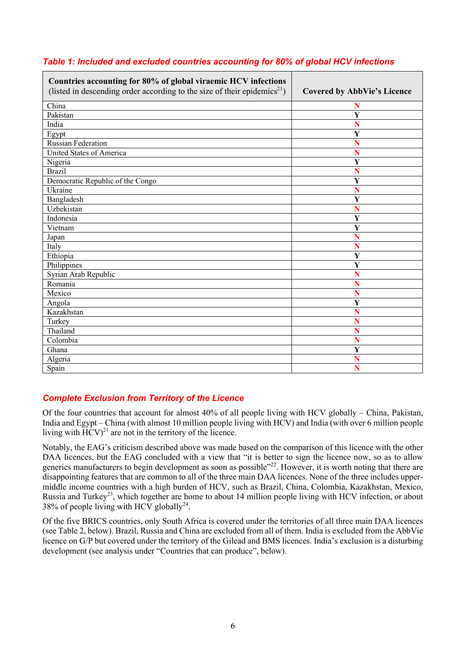| Countries accounting for 80% of global viraemic HCV infections<br>(listed in descending order according to the size of their epidemics <sup>21</sup> ) | <b>Covered by AbbVie's Licence</b> |
|--------------------------------------------------------------------------------------------------------------------------------------------------------|------------------------------------|
| China                                                                                                                                                  | N                                  |
| Pakistan                                                                                                                                               | Y                                  |
| India                                                                                                                                                  | Ñ                                  |
| Egypt                                                                                                                                                  | Y                                  |
| <b>Russian Federation</b>                                                                                                                              | Ñ                                  |
| United States of America                                                                                                                               | Ñ                                  |
| Nigeria                                                                                                                                                | Y                                  |
| <b>Brazil</b>                                                                                                                                          | Ñ                                  |
| Democratic Republic of the Congo                                                                                                                       | Y                                  |
| Ukraine                                                                                                                                                | N                                  |
| Bangladesh                                                                                                                                             | $\overline{\mathbf{Y}}$            |
| Uzbekistan                                                                                                                                             | N                                  |
| Indonesia                                                                                                                                              | $\overline{\mathbf{Y}}$            |
| Vietnam                                                                                                                                                | $\overline{\mathbf{Y}}$            |
| Japan                                                                                                                                                  | N                                  |
| Italy                                                                                                                                                  | N                                  |
| Ethiopia                                                                                                                                               | $\overline{\mathbf{Y}}$            |
| Philippines                                                                                                                                            | Y                                  |
| Syrian Arab Republic                                                                                                                                   | N                                  |
| Romania                                                                                                                                                | N                                  |
| Mexico                                                                                                                                                 | N                                  |
| Angola                                                                                                                                                 | $\overline{\mathbf{Y}}$            |
| Kazakhstan                                                                                                                                             | Ñ                                  |
| Turkey                                                                                                                                                 | Ñ                                  |
| Thailand                                                                                                                                               | N                                  |
| Colombia                                                                                                                                               | N                                  |
| Ghana                                                                                                                                                  | $\overline{\mathbf{Y}}$            |
| Algeria                                                                                                                                                | N                                  |
| Spain                                                                                                                                                  | N                                  |

## *Table 1: Included and excluded countries accounting for 80% of global HCV infections*

## *Complete Exclusion from Territory of the Licence*

Of the four countries that account for almost 40% of all people living with HCV globally – China, Pakistan, India and Egypt – China (with almost 10 million people living with HCV) and India (with over 6 million people living with  $HCV)^{21}$  are not in the territory of the licence.

Notably, the EAG's criticism described above was made based on the comparison of this licence with the other DAA licences, but the EAG concluded with a view that "it is better to sign the licence now, so as to allow generics manufacturers to begin development as soon as possible"<sup>22</sup>. However, it is worth noting that there are disappointing features that are common to all of the three main DAA licences. None of the three includes uppermiddle income countries with a high burden of HCV, such as Brazil, China, Colombia, Kazakhstan, Mexico, Russia and Turkey<sup>23</sup>, which together are home to about 14 million people living with HCV infection, or about 38% of people living with HCV globally<sup>24</sup>.

Of the five BRICS countries, only South Africa is covered under the territories of all three main DAA licences (see Table 2, below). Brazil, Russia and China are excluded from all of them. India is excluded from the AbbVie licence on G/P but covered under the territory of the Gilead and BMS licences. India's exclusion is a disturbing development (see analysis under "Countries that can produce", below).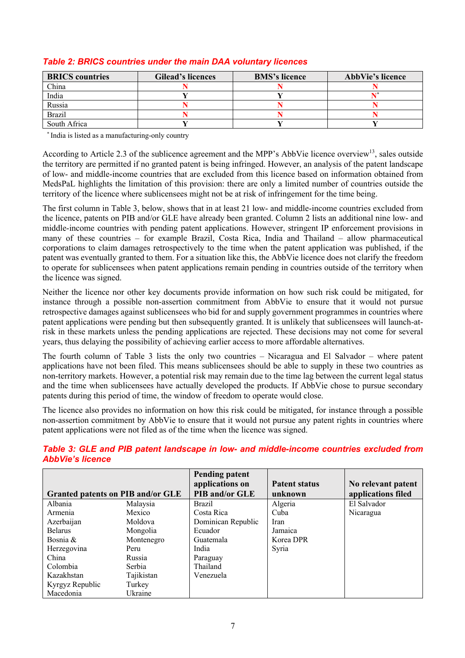| <b>BRICS</b> countries | <b>Gilead's licences</b> | <b>BMS's licence</b> | <b>AbbVie's licence</b> |
|------------------------|--------------------------|----------------------|-------------------------|
| China                  |                          |                      |                         |
| India                  |                          |                      |                         |
| Russia                 |                          |                      |                         |
| <b>Brazil</b>          |                          |                      |                         |
| South Africa           |                          |                      |                         |

## *Table 2: BRICS countries under the main DAA voluntary licences*

\* India is listed as a manufacturing-only country

According to Article 2.3 of the sublicence agreement and the MPP's AbbVie licence overview<sup>13</sup>, sales outside the territory are permitted if no granted patent is being infringed. However, an analysis of the patent landscape of low- and middle-income countries that are excluded from this licence based on information obtained from MedsPaL highlights the limitation of this provision: there are only a limited number of countries outside the territory of the licence where sublicensees might not be at risk of infringement for the time being.

The first column in Table 3, below, shows that in at least 21 low- and middle-income countries excluded from the licence, patents on PIB and/or GLE have already been granted. Column 2 lists an additional nine low- and middle-income countries with pending patent applications. However, stringent IP enforcement provisions in many of these countries – for example Brazil, Costa Rica, India and Thailand – allow pharmaceutical corporations to claim damages retrospectively to the time when the patent application was published, if the patent was eventually granted to them. For a situation like this, the AbbVie licence does not clarify the freedom to operate for sublicensees when patent applications remain pending in countries outside of the territory when the licence was signed.

Neither the licence nor other key documents provide information on how such risk could be mitigated, for instance through a possible non-assertion commitment from AbbVie to ensure that it would not pursue retrospective damages against sublicensees who bid for and supply government programmes in countries where patent applications were pending but then subsequently granted. It is unlikely that sublicensees will launch-atrisk in these markets unless the pending applications are rejected. These decisions may not come for several years, thus delaying the possibility of achieving earlier access to more affordable alternatives.

The fourth column of Table 3 lists the only two countries – Nicaragua and El Salvador – where patent applications have not been filed. This means sublicensees should be able to supply in these two countries as non-territory markets. However, a potential risk may remain due to the time lag between the current legal status and the time when sublicensees have actually developed the products. If AbbVie chose to pursue secondary patents during this period of time, the window of freedom to operate would close.

The licence also provides no information on how this risk could be mitigated, for instance through a possible non-assertion commitment by AbbVie to ensure that it would not pursue any patent rights in countries where patent applications were not filed as of the time when the licence was signed.

|                                   |            | <b>Pending patent</b><br>applications on | <b>Patent status</b> |                                          |
|-----------------------------------|------------|------------------------------------------|----------------------|------------------------------------------|
| Granted patents on PIB and/or GLE |            | <b>PIB and/or GLE</b>                    | unknown              | No relevant patent<br>applications filed |
| Albania                           | Malaysia   | <b>Brazil</b>                            | Algeria              | El Salvador                              |
| Armenia                           | Mexico     | Costa Rica                               | Cuba                 | Nicaragua                                |
| Azerbaijan                        | Moldova    | Dominican Republic                       | Iran                 |                                          |
| <b>Belarus</b>                    | Mongolia   | Ecuador                                  | Jamaica              |                                          |
| Bosnia &                          | Montenegro | Guatemala                                | Korea DPR            |                                          |
| Herzegovina                       | Peru       | India                                    | Syria                |                                          |
| China                             | Russia     | Paraguay                                 |                      |                                          |
| Colombia                          | Serbia     | Thailand                                 |                      |                                          |
| Kazakhstan                        | Tajikistan | Venezuela                                |                      |                                          |
| Kyrgyz Republic                   | Turkey     |                                          |                      |                                          |
| Macedonia                         | Ukraine    |                                          |                      |                                          |

## *Table 3: GLE and PIB patent landscape in low- and middle-income countries excluded from AbbVie's licence*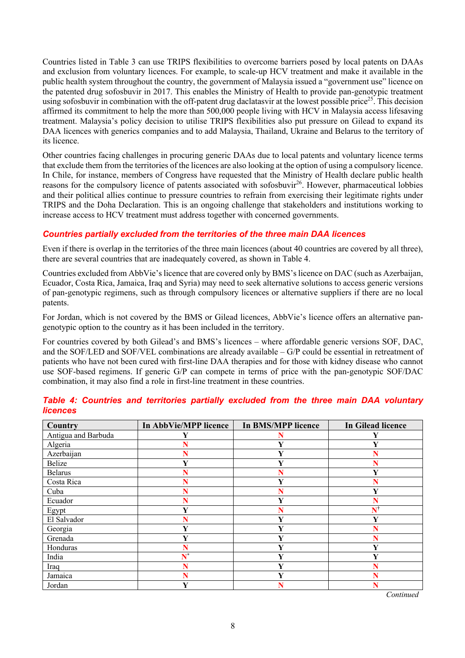Countries listed in Table 3 can use TRIPS flexibilities to overcome barriers posed by local patents on DAAs and exclusion from voluntary licences. For example, to scale-up HCV treatment and make it available in the public health system throughout the country, the government of Malaysia issued a "government use" licence on the patented drug sofosbuvir in 2017. This enables the Ministry of Health to provide pan-genotypic treatment using sofosbuvir in combination with the off-patent drug daclatasvir at the lowest possible price<sup>25</sup>. This decision affirmed its commitment to help the more than 500,000 people living with HCV in Malaysia access lifesaving treatment. Malaysia's policy decision to utilise TRIPS flexibilities also put pressure on Gilead to expand its DAA licences with generics companies and to add Malaysia, Thailand, Ukraine and Belarus to the territory of its licence.

Other countries facing challenges in procuring generic DAAs due to local patents and voluntary licence terms that exclude them from the territories of the licences are also looking at the option of using a compulsory licence. In Chile, for instance, members of Congress have requested that the Ministry of Health declare public health reasons for the compulsory licence of patents associated with sofosbuvir<sup>26</sup>. However, pharmaceutical lobbies and their political allies continue to pressure countries to refrain from exercising their legitimate rights under TRIPS and the Doha Declaration. This is an ongoing challenge that stakeholders and institutions working to increase access to HCV treatment must address together with concerned governments.

#### *Countries partially excluded from the territories of the three main DAA licences*

Even if there is overlap in the territories of the three main licences (about 40 countries are covered by all three), there are several countries that are inadequately covered, as shown in Table 4.

Countries excluded from AbbVie's licence that are covered only by BMS'slicence on DAC (such as Azerbaijan, Ecuador, Costa Rica, Jamaica, Iraq and Syria) may need to seek alternative solutions to access generic versions of pan-genotypic regimens, such as through compulsory licences or alternative suppliers if there are no local patents.

For Jordan, which is not covered by the BMS or Gilead licences, AbbVie's licence offers an alternative pangenotypic option to the country as it has been included in the territory.

For countries covered by both Gilead's and BMS's licences – where affordable generic versions SOF, DAC, and the SOF/LED and SOF/VEL combinations are already available – G/P could be essential in retreatment of patients who have not been cured with first-line DAA therapies and for those with kidney disease who cannot use SOF-based regimens. If generic G/P can compete in terms of price with the pan-genotypic SOF/DAC combination, it may also find a role in first-line treatment in these countries.

| <b>Country</b>      | <b>In AbbVie/MPP licence</b> | <b>In BMS/MPP licence</b> | <b>In Gilead licence</b> |
|---------------------|------------------------------|---------------------------|--------------------------|
| Antigua and Barbuda |                              |                           |                          |
| Algeria             | N                            | Y                         | Y                        |
| Azerbaijan          | N                            | Y                         |                          |
| Belize              | Y                            | V                         |                          |
| <b>Belarus</b>      | N                            | N                         | Y                        |
| Costa Rica          | Ñ                            | Y                         | N                        |
| Cuba                | N                            | N                         | Y                        |
| Ecuador             | N                            | Y                         |                          |
| Egypt               | Y                            | N                         | $\mathbf{N}^{\dagger}$   |
| El Salvador         | N                            | V                         | Y                        |
| Georgia             | Y                            | v                         |                          |
| Grenada             | Y                            |                           |                          |
| Honduras            | N                            |                           | Y                        |
| India               | $\overline{\mathbf{N}^*}$    | Y                         | Y                        |
| Iraq                | Ñ                            | Y                         |                          |
| Jamaica             | Ñ                            | Y                         |                          |
| Jordan              | Y                            |                           |                          |

#### *Table 4: Countries and territories partially excluded from the three main DAA voluntary licences*

*Continued*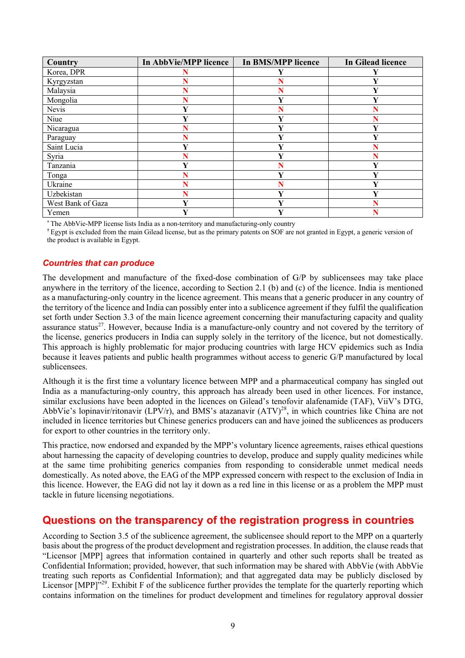| <b>Country</b>    | In AbbVie/MPP licence | <b>In BMS/MPP licence</b> | <b>In Gilead licence</b> |
|-------------------|-----------------------|---------------------------|--------------------------|
| Korea, DPR        |                       |                           |                          |
| Kyrgyzstan        | N                     | N                         | v                        |
| Malaysia          | N                     |                           | v                        |
| Mongolia          | N                     | Y                         |                          |
| Nevis             | Y                     |                           |                          |
| Niue              | $\mathbf{v}$          | $\mathbf{V}$              |                          |
| Nicaragua         | N                     | Y                         | Y                        |
| Paraguay          | Ñ                     |                           |                          |
| Saint Lucia       | Y                     | v                         |                          |
| Syria             |                       | $\mathbf v$               |                          |
| Tanzania          | v                     |                           | 7                        |
| Tonga             |                       | $\mathbf{v}$              | v                        |
| Ukraine           | N                     |                           | 7                        |
| Uzbekistan        | N                     | v                         | v                        |
| West Bank of Gaza | Y                     | Y                         |                          |
| Yemen             | Y                     | v                         |                          |

**\*** The AbbVie-MPP license lists India as a non-territory and manufacturing-only country

**†** Egypt is excluded from the main Gilead license, but as the primary patents on SOF are not granted in Egypt, a generic version of the product is available in Egypt.

#### *Countries that can produce*

The development and manufacture of the fixed-dose combination of G/P by sublicensees may take place anywhere in the territory of the licence, according to Section 2.1 (b) and (c) of the licence. India is mentioned as a manufacturing-only country in the licence agreement. This means that a generic producer in any country of the territory of the licence and India can possibly enter into a sublicence agreement if they fulfil the qualification set forth under Section 3.3 of the main licence agreement concerning their manufacturing capacity and quality assurance status<sup>27</sup>. However, because India is a manufacture-only country and not covered by the territory of the license, generics producers in India can supply solely in the territory of the licence, but not domestically. This approach is highly problematic for major producing countries with large HCV epidemics such as India because it leaves patients and public health programmes without access to generic G/P manufactured by local sublicensees.

Although it is the first time a voluntary licence between MPP and a pharmaceutical company has singled out India as a manufacturing-only country, this approach has already been used in other licences. For instance, similar exclusions have been adopted in the licences on Gilead's tenofovir alafenamide (TAF), ViiV's DTG, AbbVie's lopinavir/ritonavir (LPV/r), and BMS's atazanavir  $(ATV)^{28}$ , in which countries like China are not included in licence territories but Chinese generics producers can and have joined the sublicences as producers for export to other countries in the territory only.

This practice, now endorsed and expanded by the MPP's voluntary licence agreements, raises ethical questions about harnessing the capacity of developing countries to develop, produce and supply quality medicines while at the same time prohibiting generics companies from responding to considerable unmet medical needs domestically. As noted above, the EAG of the MPP expressed concern with respect to the exclusion of India in this licence. However, the EAG did not lay it down as a red line in this license or as a problem the MPP must tackle in future licensing negotiations.

## **Questions on the transparency of the registration progress in countries**

According to Section 3.5 of the sublicence agreement, the sublicensee should report to the MPP on a quarterly basis about the progress of the product development and registration processes. In addition, the clause reads that "Licensor [MPP] agrees that information contained in quarterly and other such reports shall be treated as Confidential Information; provided, however, that such information may be shared with AbbVie (with AbbVie treating such reports as Confidential Information); and that aggregated data may be publicly disclosed by Licensor [MPP]<sup>529</sup>. Exhibit F of the sublicence further provides the template for the quarterly reporting which contains information on the timelines for product development and timelines for regulatory approval dossier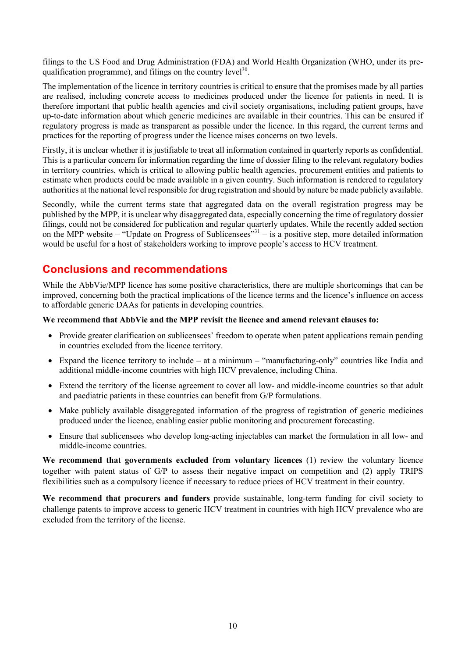filings to the US Food and Drug Administration (FDA) and World Health Organization (WHO, under its prequalification programme), and filings on the country level<sup>30</sup>.

The implementation of the licence in territory countries is critical to ensure that the promises made by all parties are realised, including concrete access to medicines produced under the licence for patients in need. It is therefore important that public health agencies and civil society organisations, including patient groups, have up-to-date information about which generic medicines are available in their countries. This can be ensured if regulatory progress is made as transparent as possible under the licence. In this regard, the current terms and practices for the reporting of progress under the licence raises concerns on two levels.

Firstly, it is unclear whether it is justifiable to treat all information contained in quarterly reports as confidential. This is a particular concern for information regarding the time of dossier filing to the relevant regulatory bodies in territory countries, which is critical to allowing public health agencies, procurement entities and patients to estimate when products could be made available in a given country. Such information is rendered to regulatory authorities at the national level responsible for drug registration and should by nature be made publicly available.

Secondly, while the current terms state that aggregated data on the overall registration progress may be published by the MPP, it is unclear why disaggregated data, especially concerning the time of regulatory dossier filings, could not be considered for publication and regular quarterly updates. While the recently added section on the MPP website – "Update on Progress of Sublicensees"<sup>331</sup> – is a positive step, more detailed information would be useful for a host of stakeholders working to improve people's access to HCV treatment.

## **Conclusions and recommendations**

While the AbbVie/MPP licence has some positive characteristics, there are multiple shortcomings that can be improved, concerning both the practical implications of the licence terms and the licence's influence on access to affordable generic DAAs for patients in developing countries.

#### **We recommend that AbbVie and the MPP revisit the licence and amend relevant clauses to:**

- Provide greater clarification on sublicensees' freedom to operate when patent applications remain pending in countries excluded from the licence territory.
- Expand the licence territory to include at a minimum "manufacturing-only" countries like India and additional middle-income countries with high HCV prevalence, including China.
- Extend the territory of the license agreement to cover all low- and middle-income countries so that adult and paediatric patients in these countries can benefit from G/P formulations.
- Make publicly available disaggregated information of the progress of registration of generic medicines produced under the licence, enabling easier public monitoring and procurement forecasting.
- Ensure that sublicensees who develop long-acting injectables can market the formulation in all low- and middle-income countries.

**We recommend that governments excluded from voluntary licences** (1) review the voluntary licence together with patent status of G/P to assess their negative impact on competition and (2) apply TRIPS flexibilities such as a compulsory licence if necessary to reduce prices of HCV treatment in their country.

**We recommend that procurers and funders** provide sustainable, long-term funding for civil society to challenge patents to improve access to generic HCV treatment in countries with high HCV prevalence who are excluded from the territory of the license.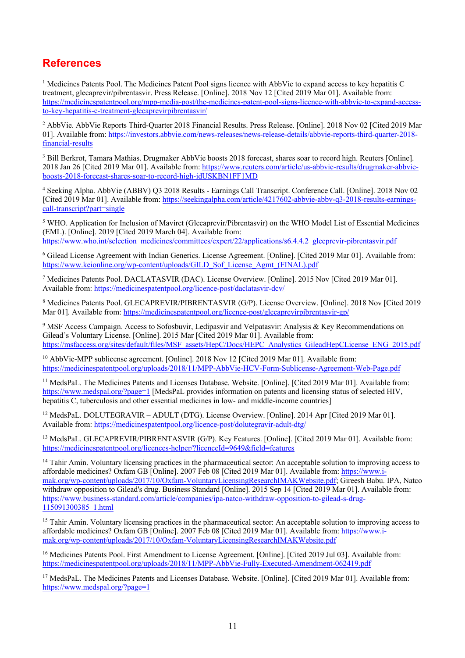## **References**

 $<sup>1</sup>$  Medicines Patents Pool. The Medicines Patent Pool signs licence with AbbVie to expand access to key hepatitis C</sup> treatment, glecaprevir/pibrentasvir. Press Release. [Online]. 2018 Nov 12 [Cited 2019 Mar 01]. Available from: https://medicinespatentpool.org/mpp-media-post/the-medicines-patent-pool-signs-licence-with-abbvie-to-expand-accessto-key-hepatitis-c-treatment-glecaprevirpibrentasvir/

<sup>2</sup> AbbVie. AbbVie Reports Third-Ouarter 2018 Financial Results. Press Release. [Online]. 2018 Nov 02 [Cited 2019 Mar 01]. Available from: https://investors.abbvie.com/news-releases/news-release-details/abbvie-reports-third-quarter-2018 financial-results

<sup>3</sup> Bill Berkrot, Tamara Mathias. Drugmaker AbbVie boosts 2018 forecast, shares soar to record high. Reuters [Online]. 2018 Jan 26 [Cited 2019 Mar 01]. Available from: https://www.reuters.com/article/us-abbvie-results/drugmaker-abbvieboosts-2018-forecast-shares-soar-to-record-high-idUSKBN1FF1MD

<sup>4</sup> Seeking Alpha. AbbVie (ABBV) Q3 2018 Results - Earnings Call Transcript. Conference Call. [Online]. 2018 Nov 02 [Cited 2019 Mar 01]. Available from: https://seekingalpha.com/article/4217602-abbvie-abbv-q3-2018-results-earningscall-transcript?part=single

<sup>5</sup> WHO. Application for Inclusion of Maviret (Glecaprevir/Pibrentasvir) on the WHO Model List of Essential Medicines (EML). [Online]. 2019 [Cited 2019 March 04]. Available from: https://www.who.int/selection\_medicines/committees/expert/22/applications/s6.4.4.2\_glecprevir-pibrentasvir.pdf

<sup>6</sup> Gilead License Agreement with Indian Generics. License Agreement. [Online]. [Cited 2019 Mar 01]. Available from: https://www.keionline.org/wp-content/uploads/GILD\_Sof\_License\_Agmt\_(FINAL).pdf

<sup>7</sup> Medicines Patents Pool. DACLATASVIR (DAC). License Overview. [Online]. 2015 Nov [Cited 2019 Mar 01]. Available from: https://medicinespatentpool.org/licence-post/daclatasvir-dcv/

<sup>8</sup> Medicines Patents Pool. GLECAPREVIR/PIBRENTASVIR (G/P). License Overview. [Online]. 2018 Nov [Cited 2019 Mar 01]. Available from: https://medicinespatentpool.org/licence-post/glecaprevirpibrentasvir-gp/

<sup>9</sup> MSF Access Campaign. Access to Sofosbuvir, Ledipasvir and Velpatasvir: Analysis & Key Recommendations on Gilead's Voluntary License. [Online]. 2015 Mar [Cited 2019 Mar 01]. Available from: https://msfaccess.org/sites/default/files/MSF\_assets/HepC/Docs/HEPC\_Analystics\_GileadHepCLicense\_ENG\_2015.pdf

<sup>10</sup> AbbVie-MPP sublicense agreement. [Online]. 2018 Nov 12 [Cited 2019 Mar 01]. Available from: https://medicinespatentpool.org/uploads/2018/11/MPP-AbbVie-HCV-Form-Sublicense-Agreement-Web-Page.pdf

<sup>11</sup> MedsPaL. The Medicines Patents and Licenses Database. Website. [Online]. [Cited 2019 Mar 01]. Available from: https://www.medspal.org/?page=1 [MedsPaL provides information on patents and licensing status of selected HIV, hepatitis C, tuberculosis and other essential medicines in low- and middle-income countries]

<sup>12</sup> MedsPaL. DOLUTEGRAVIR – ADULT (DTG). License Overview. [Online]. 2014 Apr [Cited 2019 Mar 01]. Available from: https://medicinespatentpool.org/licence-post/dolutegravir-adult-dtg/

<sup>13</sup> MedsPaL. GLECAPREVIR/PIBRENTASVIR (G/P). Key Features. [Online]. [Cited 2019 Mar 01]. Available from: https://medicinespatentpool.org/licences-helper/?licenceId=9649&field=features

 $14$  Tahir Amin. Voluntary licensing practices in the pharmaceutical sector: An acceptable solution to improving access to affordable medicines? Oxfam GB [Online]. 2007 Feb 08 [Cited 2019 Mar 01]. Available from: https://www.imak.org/wp-content/uploads/2017/10/Oxfam-VoluntaryLicensingResearchIMAKWebsite.pdf; Gireesh Babu. IPA, Natco withdraw opposition to Gilead's drug. Business Standard [Online]. 2015 Sep 14 [Cited 2019 Mar 01]. Available from: https://www.business-standard.com/article/companies/ipa-natco-withdraw-opposition-to-gilead-s-drug-115091300385\_1.html

 $15$  Tahir Amin. Voluntary licensing practices in the pharmaceutical sector: An acceptable solution to improving access to affordable medicines? Oxfam GB [Online]. 2007 Feb 08 [Cited 2019 Mar 01]. Available from: https://www.imak.org/wp-content/uploads/2017/10/Oxfam-VoluntaryLicensingResearchIMAKWebsite.pdf

<sup>16</sup> Medicines Patents Pool. First Amendment to License Agreement. [Online]. [Cited 2019 Jul 03]. Available from: https://medicinespatentpool.org/uploads/2018/11/MPP-AbbVie-Fully-Executed-Amendment-062419.pdf

<sup>17</sup> MedsPaL. The Medicines Patents and Licenses Database. Website. [Online]. [Cited 2019 Mar 01]. Available from: https://www.medspal.org/?page=1